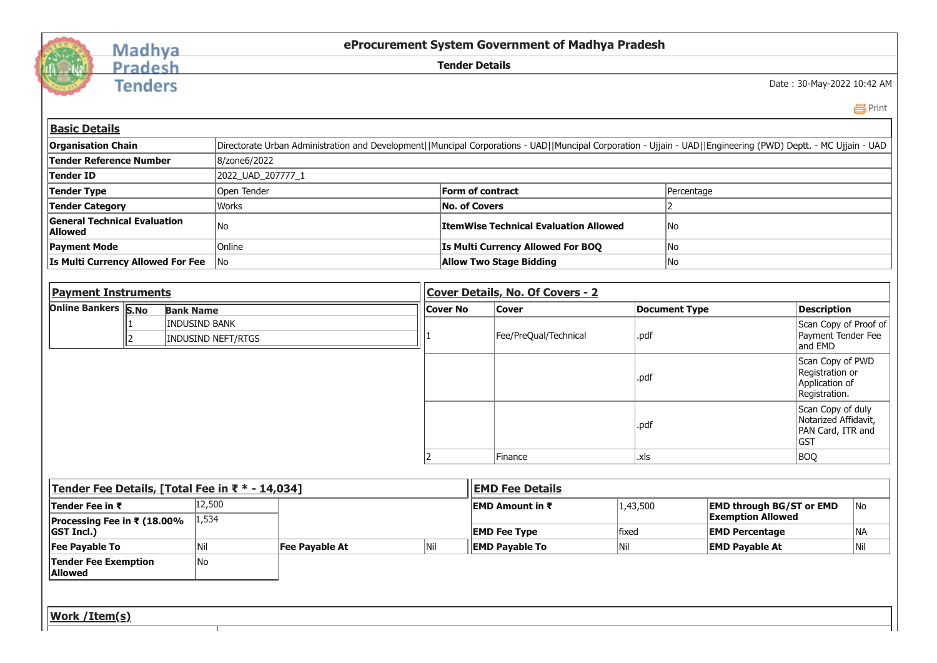

## Madhya<br>Pradesh

**Tenders** 

**eProcurement System Government of Madhya Pradesh**

**Tender Details**

Date : 30-May-2022 10:42 AM

 [Print](javascript:void(0);)

| <b>Tender Reference Number</b><br>8/zone6/2022<br><b>Tender ID</b><br>2022_UAD_207777_1<br>Form of contract<br>Open Tender<br>Percentage<br>Tender Type<br><b>Works</b><br><b>No. of Covers</b><br>$\overline{\phantom{a}}$<br><b>Tender Category</b><br><b>General Technical Evaluation</b><br>No<br><b>ItemWise Technical Evaluation Allowed</b><br>No<br><b>Allowed</b><br>Online<br>No<br><b>Payment Mode</b><br>Is Multi Currency Allowed For BOQ<br>No<br>Is Multi Currency Allowed For Fee<br><b>Allow Two Stage Bidding</b><br> No<br><b>Payment Instruments</b><br>Cover Details, No. Of Covers - 2<br>Online Bankers S.No<br><b>Description</b><br><b>Document Type</b><br><b>Bank Name</b><br><b>Cover No</b><br><b>Cover</b><br><b>INDUSIND BANK</b><br>Fee/PreQual/Technical<br>.pdf<br>$\overline{\phantom{a}}$<br><b>INDUSIND NEFT/RTGS</b><br>and EMD<br>Scan Copy of PWD<br>Registration or<br>.pdf<br>Application of<br>Registration.<br>Scan Copy of duly<br>Notarized Affidavit,<br>.pdf<br>PAN Card, ITR and<br><b>GST</b><br><b>BOQ</b><br>Finance<br>.xls<br>Tender Fee Details, [Total Fee in ₹ * - 14,034]<br><b>EMD Fee Details</b><br>12,500<br><b>EMD through BG/ST or EMD</b><br>Tender Fee in ₹<br>1,43,500<br> EMD Amount in ₹<br><b>Exemption Allowed</b><br>1,534<br>Processing Fee in ₹ (18.00%<br>fixed<br><b>GST Incl.)</b><br><b>EMD Fee Type</b><br><b>EMD Percentage</b><br>Nil<br>Nil<br><b>EMD Payable To</b><br>Nil<br><b>EMD Payable At</b><br>Nil<br><b>Fee Payable To</b><br><b>Fee Payable At</b><br><b>Tender Fee Exemption</b><br>No<br><b>Allowed</b> | <b>Basic Details</b>      |  |  |                                                                                                                                                                |  |  |  |  |  |  |                                             |  |  |
|--------------------------------------------------------------------------------------------------------------------------------------------------------------------------------------------------------------------------------------------------------------------------------------------------------------------------------------------------------------------------------------------------------------------------------------------------------------------------------------------------------------------------------------------------------------------------------------------------------------------------------------------------------------------------------------------------------------------------------------------------------------------------------------------------------------------------------------------------------------------------------------------------------------------------------------------------------------------------------------------------------------------------------------------------------------------------------------------------------------------------------------------------------------------------------------------------------------------------------------------------------------------------------------------------------------------------------------------------------------------------------------------------------------------------------------------------------------------------------------------------------------------------------------------------------------------------------------------------------|---------------------------|--|--|----------------------------------------------------------------------------------------------------------------------------------------------------------------|--|--|--|--|--|--|---------------------------------------------|--|--|
|                                                                                                                                                                                                                                                                                                                                                                                                                                                                                                                                                                                                                                                                                                                                                                                                                                                                                                                                                                                                                                                                                                                                                                                                                                                                                                                                                                                                                                                                                                                                                                                                        | <b>Organisation Chain</b> |  |  | Directorate Urban Administration and Development  Muncipal Corporations - UAD  Muncipal Corporation - Ujjain - UAD  Engineering (PWD) Deptt. - MC Ujjain - UAD |  |  |  |  |  |  |                                             |  |  |
|                                                                                                                                                                                                                                                                                                                                                                                                                                                                                                                                                                                                                                                                                                                                                                                                                                                                                                                                                                                                                                                                                                                                                                                                                                                                                                                                                                                                                                                                                                                                                                                                        |                           |  |  |                                                                                                                                                                |  |  |  |  |  |  |                                             |  |  |
|                                                                                                                                                                                                                                                                                                                                                                                                                                                                                                                                                                                                                                                                                                                                                                                                                                                                                                                                                                                                                                                                                                                                                                                                                                                                                                                                                                                                                                                                                                                                                                                                        |                           |  |  |                                                                                                                                                                |  |  |  |  |  |  |                                             |  |  |
|                                                                                                                                                                                                                                                                                                                                                                                                                                                                                                                                                                                                                                                                                                                                                                                                                                                                                                                                                                                                                                                                                                                                                                                                                                                                                                                                                                                                                                                                                                                                                                                                        |                           |  |  |                                                                                                                                                                |  |  |  |  |  |  |                                             |  |  |
|                                                                                                                                                                                                                                                                                                                                                                                                                                                                                                                                                                                                                                                                                                                                                                                                                                                                                                                                                                                                                                                                                                                                                                                                                                                                                                                                                                                                                                                                                                                                                                                                        |                           |  |  |                                                                                                                                                                |  |  |  |  |  |  |                                             |  |  |
|                                                                                                                                                                                                                                                                                                                                                                                                                                                                                                                                                                                                                                                                                                                                                                                                                                                                                                                                                                                                                                                                                                                                                                                                                                                                                                                                                                                                                                                                                                                                                                                                        |                           |  |  |                                                                                                                                                                |  |  |  |  |  |  |                                             |  |  |
|                                                                                                                                                                                                                                                                                                                                                                                                                                                                                                                                                                                                                                                                                                                                                                                                                                                                                                                                                                                                                                                                                                                                                                                                                                                                                                                                                                                                                                                                                                                                                                                                        |                           |  |  |                                                                                                                                                                |  |  |  |  |  |  |                                             |  |  |
|                                                                                                                                                                                                                                                                                                                                                                                                                                                                                                                                                                                                                                                                                                                                                                                                                                                                                                                                                                                                                                                                                                                                                                                                                                                                                                                                                                                                                                                                                                                                                                                                        |                           |  |  |                                                                                                                                                                |  |  |  |  |  |  |                                             |  |  |
|                                                                                                                                                                                                                                                                                                                                                                                                                                                                                                                                                                                                                                                                                                                                                                                                                                                                                                                                                                                                                                                                                                                                                                                                                                                                                                                                                                                                                                                                                                                                                                                                        |                           |  |  |                                                                                                                                                                |  |  |  |  |  |  |                                             |  |  |
|                                                                                                                                                                                                                                                                                                                                                                                                                                                                                                                                                                                                                                                                                                                                                                                                                                                                                                                                                                                                                                                                                                                                                                                                                                                                                                                                                                                                                                                                                                                                                                                                        |                           |  |  |                                                                                                                                                                |  |  |  |  |  |  |                                             |  |  |
|                                                                                                                                                                                                                                                                                                                                                                                                                                                                                                                                                                                                                                                                                                                                                                                                                                                                                                                                                                                                                                                                                                                                                                                                                                                                                                                                                                                                                                                                                                                                                                                                        |                           |  |  |                                                                                                                                                                |  |  |  |  |  |  | Scan Copy of Proof of<br>Payment Tender Fee |  |  |
|                                                                                                                                                                                                                                                                                                                                                                                                                                                                                                                                                                                                                                                                                                                                                                                                                                                                                                                                                                                                                                                                                                                                                                                                                                                                                                                                                                                                                                                                                                                                                                                                        |                           |  |  |                                                                                                                                                                |  |  |  |  |  |  |                                             |  |  |
|                                                                                                                                                                                                                                                                                                                                                                                                                                                                                                                                                                                                                                                                                                                                                                                                                                                                                                                                                                                                                                                                                                                                                                                                                                                                                                                                                                                                                                                                                                                                                                                                        |                           |  |  |                                                                                                                                                                |  |  |  |  |  |  |                                             |  |  |
|                                                                                                                                                                                                                                                                                                                                                                                                                                                                                                                                                                                                                                                                                                                                                                                                                                                                                                                                                                                                                                                                                                                                                                                                                                                                                                                                                                                                                                                                                                                                                                                                        |                           |  |  |                                                                                                                                                                |  |  |  |  |  |  |                                             |  |  |
|                                                                                                                                                                                                                                                                                                                                                                                                                                                                                                                                                                                                                                                                                                                                                                                                                                                                                                                                                                                                                                                                                                                                                                                                                                                                                                                                                                                                                                                                                                                                                                                                        |                           |  |  |                                                                                                                                                                |  |  |  |  |  |  |                                             |  |  |
|                                                                                                                                                                                                                                                                                                                                                                                                                                                                                                                                                                                                                                                                                                                                                                                                                                                                                                                                                                                                                                                                                                                                                                                                                                                                                                                                                                                                                                                                                                                                                                                                        |                           |  |  |                                                                                                                                                                |  |  |  |  |  |  |                                             |  |  |
|                                                                                                                                                                                                                                                                                                                                                                                                                                                                                                                                                                                                                                                                                                                                                                                                                                                                                                                                                                                                                                                                                                                                                                                                                                                                                                                                                                                                                                                                                                                                                                                                        |                           |  |  |                                                                                                                                                                |  |  |  |  |  |  | No                                          |  |  |
|                                                                                                                                                                                                                                                                                                                                                                                                                                                                                                                                                                                                                                                                                                                                                                                                                                                                                                                                                                                                                                                                                                                                                                                                                                                                                                                                                                                                                                                                                                                                                                                                        |                           |  |  |                                                                                                                                                                |  |  |  |  |  |  | <b>NA</b>                                   |  |  |
|                                                                                                                                                                                                                                                                                                                                                                                                                                                                                                                                                                                                                                                                                                                                                                                                                                                                                                                                                                                                                                                                                                                                                                                                                                                                                                                                                                                                                                                                                                                                                                                                        |                           |  |  |                                                                                                                                                                |  |  |  |  |  |  |                                             |  |  |
|                                                                                                                                                                                                                                                                                                                                                                                                                                                                                                                                                                                                                                                                                                                                                                                                                                                                                                                                                                                                                                                                                                                                                                                                                                                                                                                                                                                                                                                                                                                                                                                                        |                           |  |  |                                                                                                                                                                |  |  |  |  |  |  |                                             |  |  |
|                                                                                                                                                                                                                                                                                                                                                                                                                                                                                                                                                                                                                                                                                                                                                                                                                                                                                                                                                                                                                                                                                                                                                                                                                                                                                                                                                                                                                                                                                                                                                                                                        |                           |  |  |                                                                                                                                                                |  |  |  |  |  |  |                                             |  |  |